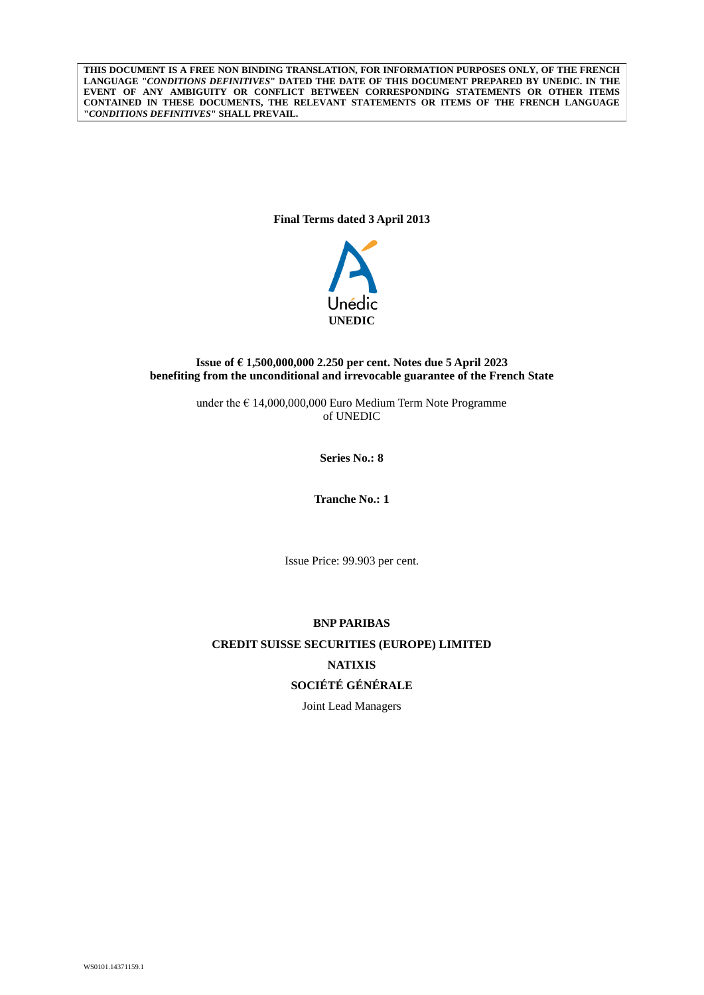**THIS DOCUMENT IS A FREE NON BINDING TRANSLATION, FOR INFORMATION PURPOSES ONLY, OF THE FRENCH LANGUAGE "***CONDITIONS DEFINITIVES***" DATED THE DATE OF THIS DOCUMENT PREPARED BY UNEDIC. IN THE EVENT OF ANY AMBIGUITY OR CONFLICT BETWEEN CORRESPONDING STATEMENTS OR OTHER ITEMS CONTAINED IN THESE DOCUMENTS, THE RELEVANT STATEMENTS OR ITEMS OF THE FRENCH LANGUAGE "***CONDITIONS DEFINITIVES***" SHALL PREVAIL.**

**Final Terms dated 3 April 2013**



# **Issue of € 1,500,000,000 2.250 per cent. Notes due 5 April 2023 benefiting from the unconditional and irrevocable guarantee of the French State**

under the  $\epsilon$  14,000,000,000 Euro Medium Term Note Programme of UNEDIC

**Series No.: 8**

**Tranche No.: 1**

Issue Price: 99.903 per cent.

# **BNP PARIBAS CREDIT SUISSE SECURITIES (EUROPE) LIMITED NATIXIS SOCIÉTÉ GÉNÉRALE**

Joint Lead Managers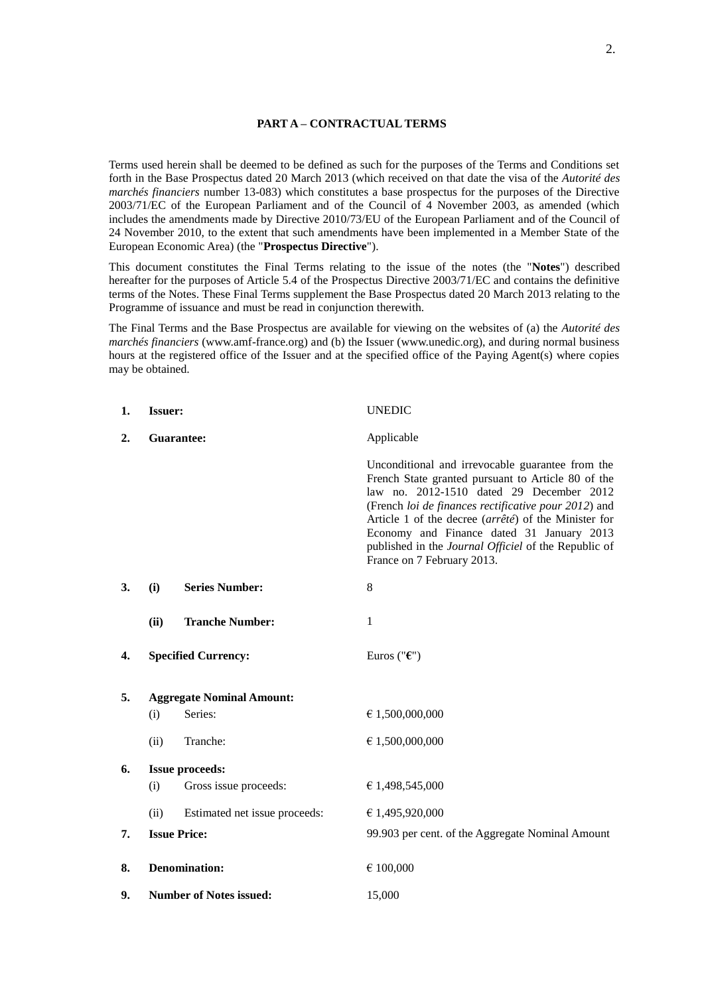# **PART A – CONTRACTUAL TERMS**

Terms used herein shall be deemed to be defined as such for the purposes of the Terms and Conditions set forth in the Base Prospectus dated 20 March 2013 (which received on that date the visa of the *Autorité des marchés financiers* number 13-083) which constitutes a base prospectus for the purposes of the Directive 2003/71/EC of the European Parliament and of the Council of 4 November 2003, as amended (which includes the amendments made by Directive 2010/73/EU of the European Parliament and of the Council of 24 November 2010, to the extent that such amendments have been implemented in a Member State of the European Economic Area) (the "**Prospectus Directive**").

This document constitutes the Final Terms relating to the issue of the notes (the "**Notes**") described hereafter for the purposes of Article 5.4 of the Prospectus Directive 2003/71/EC and contains the definitive terms of the Notes. These Final Terms supplement the Base Prospectus dated 20 March 2013 relating to the Programme of issuance and must be read in conjunction therewith.

The Final Terms and the Base Prospectus are available for viewing on the websites of (a) the *Autorité des marchés financiers* (www.amf-france.org) and (b) the Issuer (www.unedic.org), and during normal business hours at the registered office of the Issuer and at the specified office of the Paying Agent(s) where copies may be obtained.

| 1. | <b>Issuer:</b>                 |                                  | <b>UNEDIC</b>                                                                                                                                                                                                                                                                                                                                                                                         |
|----|--------------------------------|----------------------------------|-------------------------------------------------------------------------------------------------------------------------------------------------------------------------------------------------------------------------------------------------------------------------------------------------------------------------------------------------------------------------------------------------------|
| 2. | Guarantee:                     |                                  | Applicable                                                                                                                                                                                                                                                                                                                                                                                            |
|    |                                |                                  | Unconditional and irrevocable guarantee from the<br>French State granted pursuant to Article 80 of the<br>law no. 2012-1510 dated 29 December 2012<br>(French loi de finances rectificative pour 2012) and<br>Article 1 of the decree (arrêté) of the Minister for<br>Economy and Finance dated 31 January 2013<br>published in the Journal Officiel of the Republic of<br>France on 7 February 2013. |
| 3. | (i)                            | <b>Series Number:</b>            | 8                                                                                                                                                                                                                                                                                                                                                                                                     |
|    | (ii)                           | <b>Tranche Number:</b>           | 1                                                                                                                                                                                                                                                                                                                                                                                                     |
| 4. |                                | <b>Specified Currency:</b>       | Euros (" $\epsilon$ ")                                                                                                                                                                                                                                                                                                                                                                                |
| 5. |                                | <b>Aggregate Nominal Amount:</b> |                                                                                                                                                                                                                                                                                                                                                                                                       |
|    | (i)                            | Series:                          | € 1,500,000,000                                                                                                                                                                                                                                                                                                                                                                                       |
|    | (ii)                           | Tranche:                         | € 1,500,000,000                                                                                                                                                                                                                                                                                                                                                                                       |
| 6. |                                | <b>Issue proceeds:</b>           |                                                                                                                                                                                                                                                                                                                                                                                                       |
|    | (i)                            | Gross issue proceeds:            | € 1,498,545,000                                                                                                                                                                                                                                                                                                                                                                                       |
|    | (ii)                           | Estimated net issue proceeds:    | € 1,495,920,000                                                                                                                                                                                                                                                                                                                                                                                       |
| 7. |                                | <b>Issue Price:</b>              | 99.903 per cent. of the Aggregate Nominal Amount                                                                                                                                                                                                                                                                                                                                                      |
| 8. |                                | <b>Denomination:</b>             | € 100,000                                                                                                                                                                                                                                                                                                                                                                                             |
| 9. | <b>Number of Notes issued:</b> |                                  | 15,000                                                                                                                                                                                                                                                                                                                                                                                                |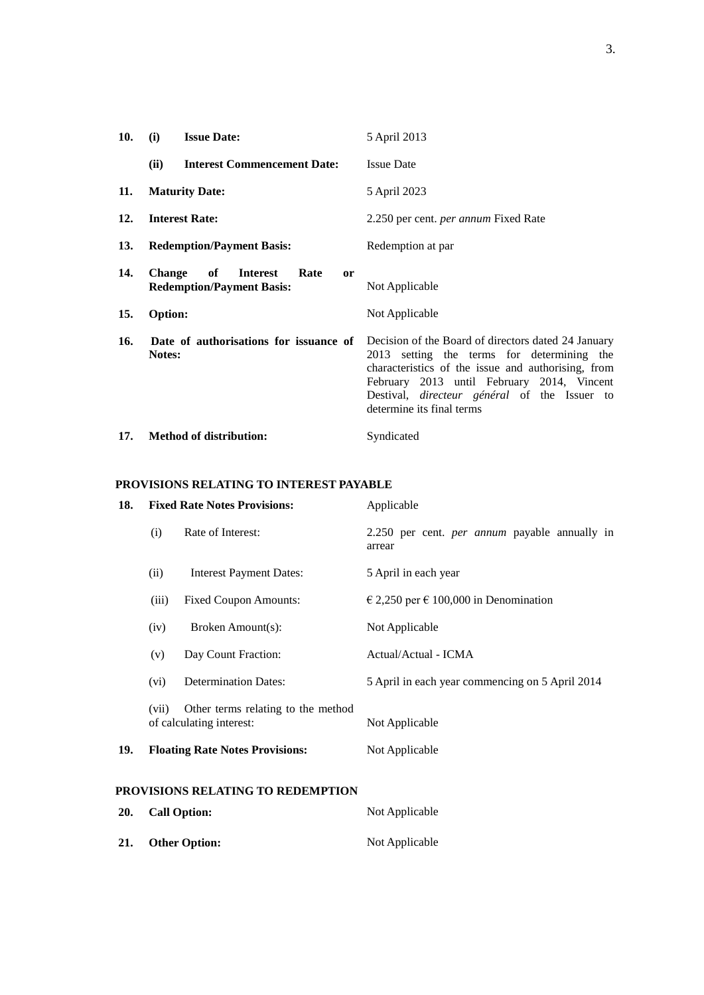| 10.        | (i)<br><b>Issue Date:</b>                                                          | 5 April 2013                                                                                                                                                                                                                                                                              |
|------------|------------------------------------------------------------------------------------|-------------------------------------------------------------------------------------------------------------------------------------------------------------------------------------------------------------------------------------------------------------------------------------------|
|            | <b>Interest Commencement Date:</b><br>(ii)                                         | <b>Issue Date</b>                                                                                                                                                                                                                                                                         |
| 11.        | <b>Maturity Date:</b>                                                              | 5 April 2023                                                                                                                                                                                                                                                                              |
| 12.        | <b>Interest Rate:</b>                                                              | 2.250 per cent. <i>per annum</i> Fixed Rate                                                                                                                                                                                                                                               |
| <b>13.</b> | <b>Redemption/Payment Basis:</b>                                                   | Redemption at par                                                                                                                                                                                                                                                                         |
| 14.        | of<br><b>Change</b><br><b>Interest</b><br>Rate<br><b>Redemption/Payment Basis:</b> | <sub>or</sub><br>Not Applicable                                                                                                                                                                                                                                                           |
| 15.        | Option:                                                                            | Not Applicable                                                                                                                                                                                                                                                                            |
| 16.        | Date of authorisations for issuance of<br>Notes:                                   | Decision of the Board of directors dated 24 January<br>2013 setting the terms for determining the<br>characteristics of the issue and authorising, from<br>February 2013 until February 2014, Vincent<br>Destival, <i>directeur</i> général of the Issuer to<br>determine its final terms |
| 17.        | <b>Method of distribution:</b>                                                     | Syndicated                                                                                                                                                                                                                                                                                |

**PROVISIONS RELATING TO INTEREST PAYABLE**

| 18. | <b>Fixed Rate Notes Provisions:</b> |                                                                | Applicable                                                     |
|-----|-------------------------------------|----------------------------------------------------------------|----------------------------------------------------------------|
|     | (i)                                 | Rate of Interest:                                              | 2.250 per cent. <i>per annum</i> payable annually in<br>arrear |
|     | (ii)                                | <b>Interest Payment Dates:</b>                                 | 5 April in each year                                           |
|     | (iii)                               | <b>Fixed Coupon Amounts:</b>                                   | $\in$ 2,250 per $\in$ 100,000 in Denomination                  |
|     | (iv)                                | Broken Amount(s):                                              | Not Applicable                                                 |
|     | (v)                                 | Day Count Fraction:                                            | Actual/Actual - ICMA                                           |
|     | (vi)                                | <b>Determination Dates:</b>                                    | 5 April in each year commencing on 5 April 2014                |
|     | (vii)                               | Other terms relating to the method<br>of calculating interest: | Not Applicable                                                 |
| 19. |                                     | <b>Floating Rate Notes Provisions:</b>                         | Not Applicable                                                 |
|     |                                     | PROVISIONS RELATING TO REDEMPTION                              |                                                                |
| 20. |                                     | <b>Call Option:</b>                                            | Not Applicable                                                 |

**21. Other Option:** Not Applicable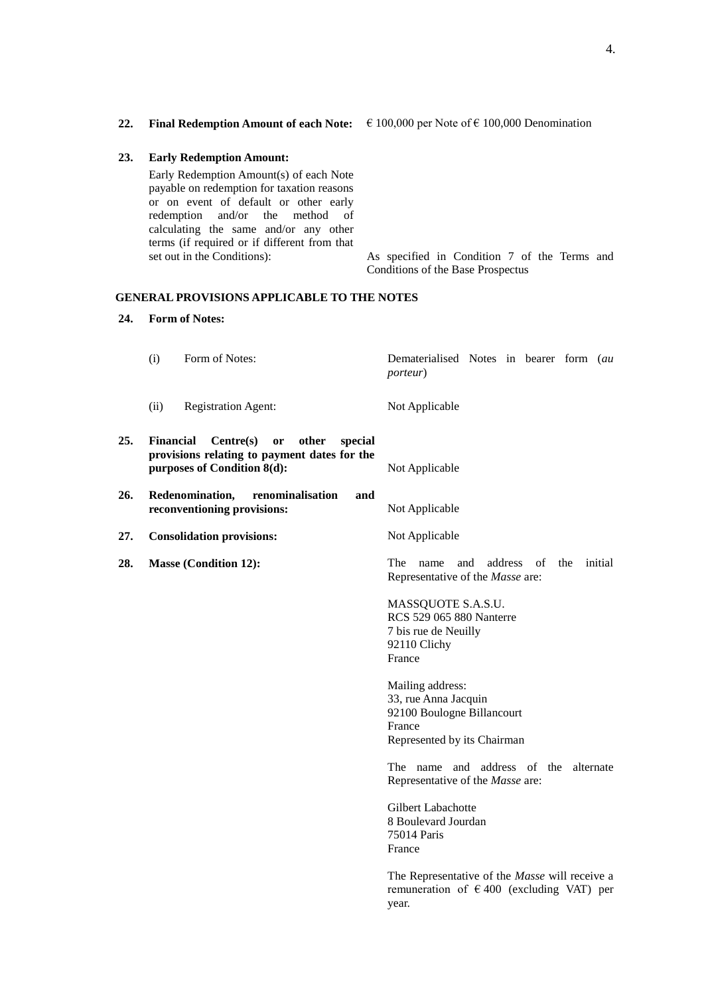| 23. | <b>Early Redemption Amount:</b>                                                                                                                                                                                                                                                            |                                                                                   |
|-----|--------------------------------------------------------------------------------------------------------------------------------------------------------------------------------------------------------------------------------------------------------------------------------------------|-----------------------------------------------------------------------------------|
|     | Early Redemption Amount(s) of each Note<br>payable on redemption for taxation reasons<br>or on event of default or other early<br>redemption and/or the method of<br>calculating the same and/or any other<br>terms (if required or if different from that)<br>set out in the Conditions): | As specified in Condition 7 of the Terms and<br>Conditions of the Base Prospectus |
|     | <b>GENERAL PROVISIONS APPLICABLE TO THE NOTES</b>                                                                                                                                                                                                                                          |                                                                                   |
| 24. | <b>Form of Notes:</b>                                                                                                                                                                                                                                                                      |                                                                                   |

- (i) Form of Notes: Dematerialised Notes in bearer form (*au porteur*) (ii) Registration Agent: Not Applicable
- **25. Financial Centre(s) or other special provisions relating to payment dates for the purposes of Condition 8(d):** Not Applicable
- **26. Redenomination, renominalisation and reconventioning provisions:** Not Applicable
- **27. Consolidation provisions:** Not Applicable
- 

**28. Masse (Condition 12):** The name and address of the initial Representative of the *Masse* are:

> MASSQUOTE S.A.S.U. RCS 529 065 880 Nanterre 7 bis rue de Neuilly 92110 Clichy France

Mailing address: 33, rue Anna Jacquin 92100 Boulogne Billancourt France Represented by its Chairman

The name and address of the alternate Representative of the *Masse* are:

Gilbert Labachotte 8 Boulevard Jourdan 75014 Paris France

The Representative of the *Masse* will receive a remuneration of  $\epsilon$  400 (excluding VAT) per year.

**22. Final Redemption Amount of each Note:** € 100,000 per Note of € 100,000 Denomination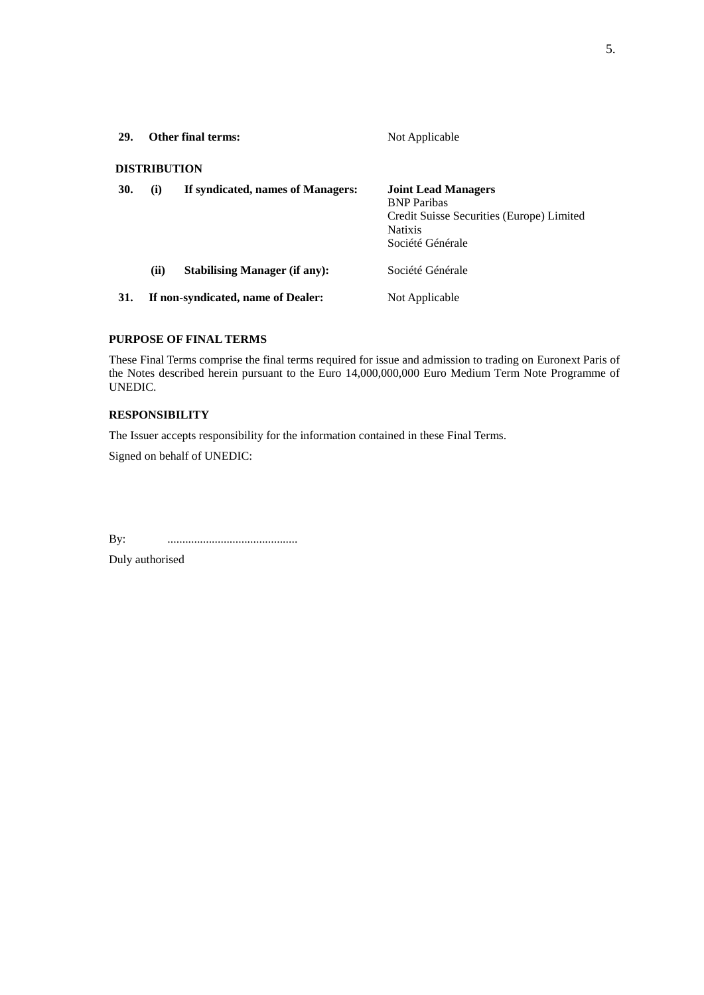| <b>29.</b> | <b>Other final terms:</b> |                                      | Not Applicable                                                                                                                      |
|------------|---------------------------|--------------------------------------|-------------------------------------------------------------------------------------------------------------------------------------|
|            | <b>DISTRIBUTION</b>       |                                      |                                                                                                                                     |
| 30.        | (i)                       | If syndicated, names of Managers:    | <b>Joint Lead Managers</b><br><b>BNP</b> Paribas<br>Credit Suisse Securities (Europe) Limited<br><b>Natixis</b><br>Société Générale |
|            | (ii)                      | <b>Stabilising Manager (if any):</b> | Société Générale                                                                                                                    |
| 31.        |                           | If non-syndicated, name of Dealer:   | Not Applicable                                                                                                                      |

### **PURPOSE OF FINAL TERMS**

These Final Terms comprise the final terms required for issue and admission to trading on Euronext Paris of the Notes described herein pursuant to the Euro 14,000,000,000 Euro Medium Term Note Programme of UNEDIC.

### **RESPONSIBILITY**

The Issuer accepts responsibility for the information contained in these Final Terms.

Signed on behalf of UNEDIC:

By: ............................................

Duly authorised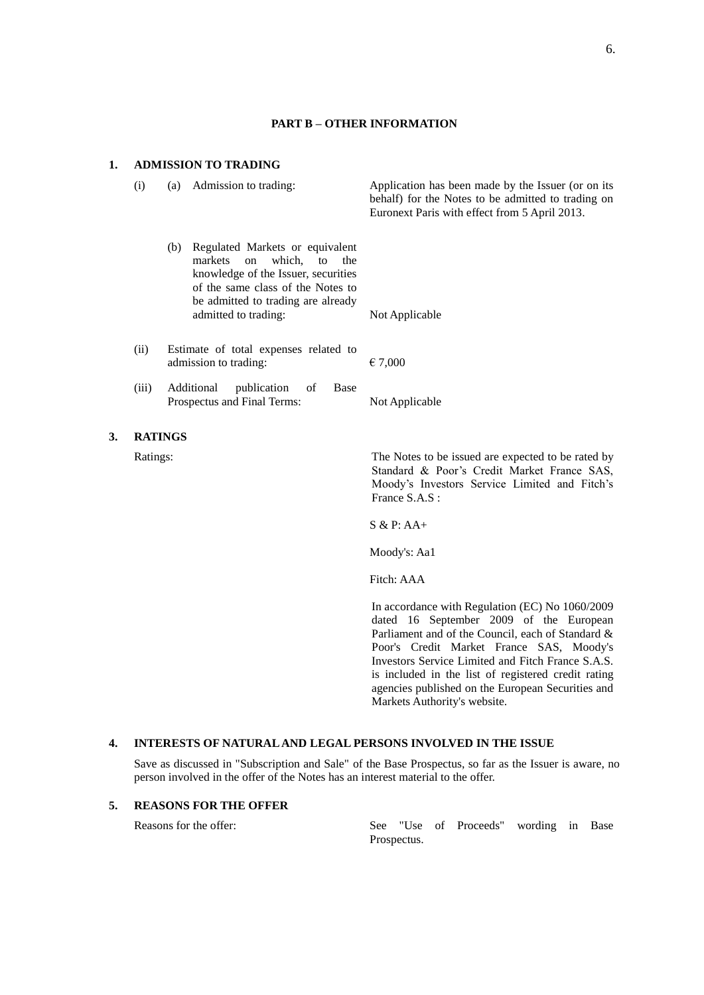### **PART B – OTHER INFORMATION**

### **1. ADMISSION TO TRADING**

**3.** 

| (i)            | (a) | Admission to trading:                                                                                                                                                                                                | Application has been made by the Issuer (or on its<br>behalf) for the Notes to be admitted to trading on<br>Euronext Paris with effect from 5 April 2013.            |
|----------------|-----|----------------------------------------------------------------------------------------------------------------------------------------------------------------------------------------------------------------------|----------------------------------------------------------------------------------------------------------------------------------------------------------------------|
|                | (b) | Regulated Markets or equivalent<br>markets<br>$\alpha$<br>which, to<br>the<br>knowledge of the Issuer, securities<br>of the same class of the Notes to<br>be admitted to trading are already<br>admitted to trading: | Not Applicable                                                                                                                                                       |
| (ii)           |     | Estimate of total expenses related to<br>admission to trading:                                                                                                                                                       | € 7,000                                                                                                                                                              |
| (iii)          |     | Additional<br>publication<br><b>Base</b><br>of<br>Prospectus and Final Terms:                                                                                                                                        | Not Applicable                                                                                                                                                       |
| <b>RATINGS</b> |     |                                                                                                                                                                                                                      |                                                                                                                                                                      |
| Ratings:       |     |                                                                                                                                                                                                                      | The Notes to be issued are expected to be rated by<br>Standard & Poor's Credit Market France SAS,<br>Moody's Investors Service Limited and Fitch's<br>France S.A.S : |
|                |     |                                                                                                                                                                                                                      | $S & P: AA+$                                                                                                                                                         |
|                |     |                                                                                                                                                                                                                      | Moody's: Aa1                                                                                                                                                         |

Fitch: AAA

In accordance with Regulation (EC) No 1060/2009 dated 16 September 2009 of the European Parliament and of the Council, each of Standard & Poor's Credit Market France SAS, Moody's Investors Service Limited and Fitch France S.A.S. is included in the list of registered credit rating agencies published on the European Securities and Markets Authority's website.

# **4. INTERESTS OF NATURAL AND LEGAL PERSONS INVOLVED IN THE ISSUE**

Save as discussed in "Subscription and Sale" of the Base Prospectus, so far as the Issuer is aware, no person involved in the offer of the Notes has an interest material to the offer.

# **5. REASONS FOR THE OFFER**

Reasons for the offer: See "Use of Proceeds" wording in Base Prospectus.